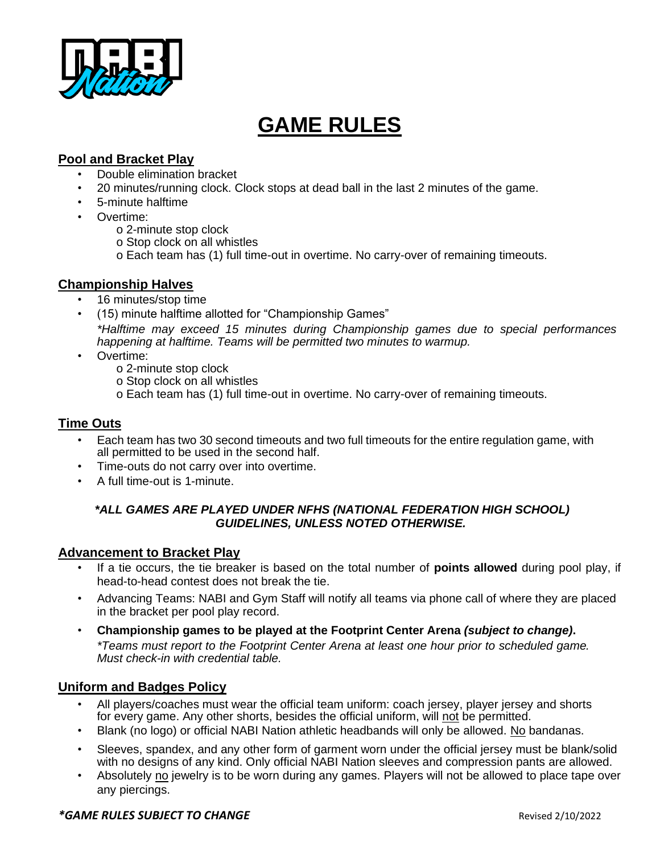

# **GAME RULES**

# **Pool and Bracket Play**

- Double elimination bracket
- 20 minutes/running clock. Clock stops at dead ball in the last 2 minutes of the game.
- 5-minute halftime
- Overtime:
	- o 2-minute stop clock
	- o Stop clock on all whistles
	- o Each team has (1) full time-out in overtime. No carry-over of remaining timeouts.

## **Championship Halves**

- 16 minutes/stop time
- (15) minute halftime allotted for "Championship Games" *\*Halftime may exceed 15 minutes during Championship games due to special performances happening at halftime. Teams will be permitted two minutes to warmup.*
- Overtime:
	- o 2-minute stop clock
	- o Stop clock on all whistles
	- o Each team has (1) full time-out in overtime. No carry-over of remaining timeouts.

## **Time Outs**

- Each team has two 30 second timeouts and two full timeouts for the entire regulation game, with all permitted to be used in the second half.
- Time-outs do not carry over into overtime.
- A full time-out is 1-minute.

#### *\*ALL GAMES ARE PLAYED UNDER NFHS (NATIONAL FEDERATION HIGH SCHOOL) GUIDELINES, UNLESS NOTED OTHERWISE.*

#### **Advancement to Bracket Play**

- If a tie occurs, the tie breaker is based on the total number of **points allowed** during pool play, if head-to-head contest does not break the tie.
- Advancing Teams: NABI and Gym Staff will notify all teams via phone call of where they are placed in the bracket per pool play record.
- **Championship games to be played at the Footprint Center Arena** *(subject to change)***.** *\*Teams must report to the Footprint Center Arena at least one hour prior to scheduled game. Must check-in with credential table.*

### **Uniform and Badges Policy**

- All players/coaches must wear the official team uniform: coach jersey, player jersey and shorts for every game. Any other shorts, besides the official uniform, will not be permitted.
- Blank (no logo) or official NABI Nation athletic headbands will only be allowed. No bandanas.
- Sleeves, spandex, and any other form of garment worn under the official jersey must be blank/solid with no designs of any kind. Only official NABI Nation sleeves and compression pants are allowed.
- Absolutely no jewelry is to be worn during any games. Players will not be allowed to place tape over any piercings.

#### *\*GAME RULES SUBJECT TO CHANGE* Revised 2/10/2022